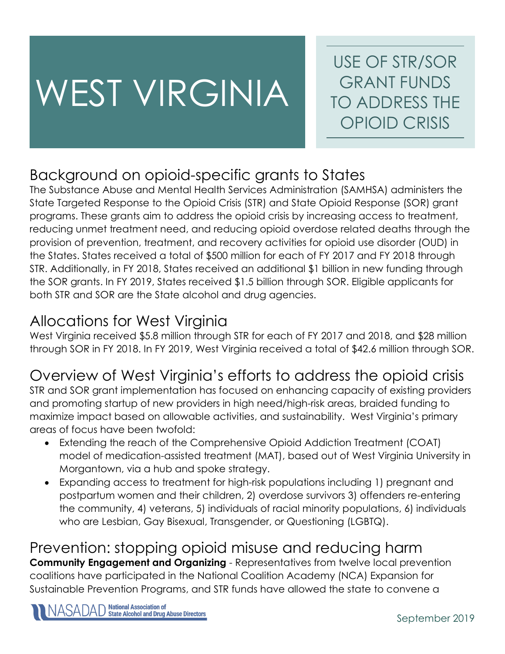# WEST VIRGINIA

USE OF STR/SOR GRANT FUNDS TO ADDRESS THE OPIOID CRISIS

## Background on opioid-specific grants to States

The Substance Abuse and Mental Health Services Administration (SAMHSA) administers the State Targeted Response to the Opioid Crisis (STR) and State Opioid Response (SOR) grant programs. These grants aim to address the opioid crisis by increasing access to treatment, reducing unmet treatment need, and reducing opioid overdose related deaths through the provision of prevention, treatment, and recovery activities for opioid use disorder (OUD) in the States. States received a total of \$500 million for each of FY 2017 and FY 2018 through STR. Additionally, in FY 2018, States received an additional \$1 billion in new funding through the SOR grants. In FY 2019, States received \$1.5 billion through SOR. Eligible applicants for both STR and SOR are the State alcohol and drug agencies.

## Allocations for West Virginia

West Virginia received \$5.8 million through STR for each of FY 2017 and 2018, and \$28 million through SOR in FY 2018. In FY 2019, West Virginia received a total of \$42.6 million through SOR.

## Overview of West Virginia's efforts to address the opioid crisis

STR and SOR grant implementation has focused on enhancing capacity of existing providers and promoting startup of new providers in high need/high-risk areas, braided funding to maximize impact based on allowable activities, and sustainability. West Virginia's primary areas of focus have been twofold:

- Extending the reach of the Comprehensive Opioid Addiction Treatment (COAT) model of medication-assisted treatment (MAT), based out of West Virginia University in Morgantown, via a hub and spoke strategy.
- Expanding access to treatment for high-risk populations including 1) pregnant and postpartum women and their children, 2) overdose survivors 3) offenders re-entering the community, 4) veterans, 5) individuals of racial minority populations, 6) individuals who are Lesbian, Gay Bisexual, Transgender, or Questioning (LGBTQ).

#### Prevention: stopping opioid misuse and reducing harm **Community Engagement and Organizing** - Representatives from twelve local prevention coalitions have participated in the National Coalition Academy (NCA) Expansion for Sustainable Prevention Programs, and STR funds have allowed the state to convene a

**National Association of<br>State Alcohol and Drug Abuse Directors**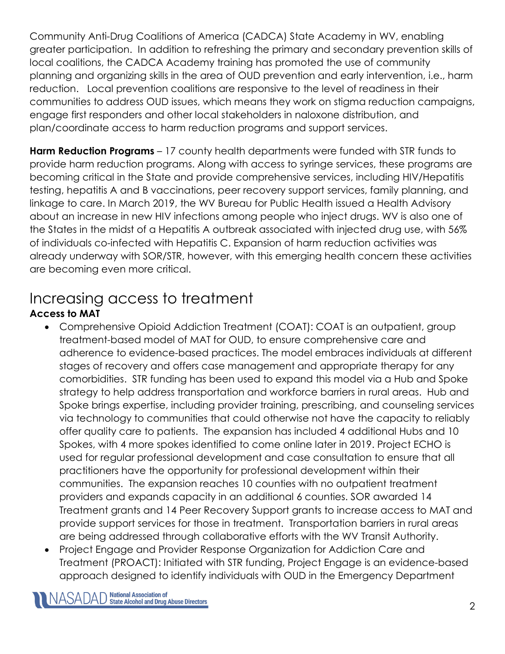Community Anti-Drug Coalitions of America (CADCA) State Academy in WV, enabling greater participation. In addition to refreshing the primary and secondary prevention skills of local coalitions, the CADCA Academy training has promoted the use of community planning and organizing skills in the area of OUD prevention and early intervention, i.e., harm reduction. Local prevention coalitions are responsive to the level of readiness in their communities to address OUD issues, which means they work on stigma reduction campaigns, engage first responders and other local stakeholders in naloxone distribution, and plan/coordinate access to harm reduction programs and support services.

**Harm Reduction Programs** – 17 county health departments were funded with STR funds to provide harm reduction programs. Along with access to syringe services, these programs are becoming critical in the State and provide comprehensive services, including HIV/Hepatitis testing, hepatitis A and B vaccinations, peer recovery support services, family planning, and linkage to care. In March 2019, the WV Bureau for Public Health issued a Health Advisory about an increase in new HIV infections among people who inject drugs. WV is also one of the States in the midst of a Hepatitis A outbreak associated with injected drug use, with 56% of individuals co-infected with Hepatitis C. Expansion of harm reduction activities was already underway with SOR/STR, however, with this emerging health concern these activities are becoming even more critical.

## Increasing access to treatment

#### **Access to MAT**

- Comprehensive Opioid Addiction Treatment (COAT): COAT is an outpatient, group treatment-based model of MAT for OUD, to ensure comprehensive care and adherence to evidence-based practices. The model embraces individuals at different stages of recovery and offers case management and appropriate therapy for any comorbidities. STR funding has been used to expand this model via a Hub and Spoke strategy to help address transportation and workforce barriers in rural areas. Hub and Spoke brings expertise, including provider training, prescribing, and counseling services via technology to communities that could otherwise not have the capacity to reliably offer quality care to patients. The expansion has included 4 additional Hubs and 10 Spokes, with 4 more spokes identified to come online later in 2019. Project ECHO is used for regular professional development and case consultation to ensure that all practitioners have the opportunity for professional development within their communities. The expansion reaches 10 counties with no outpatient treatment providers and expands capacity in an additional 6 counties. SOR awarded 14 Treatment grants and 14 Peer Recovery Support grants to increase access to MAT and provide support services for those in treatment. Transportation barriers in rural areas are being addressed through collaborative efforts with the WV Transit Authority.
- Project Engage and Provider Response Organization for Addiction Care and Treatment (PROACT): Initiated with STR funding, Project Engage is an evidence-based approach designed to identify individuals with OUD in the Emergency Department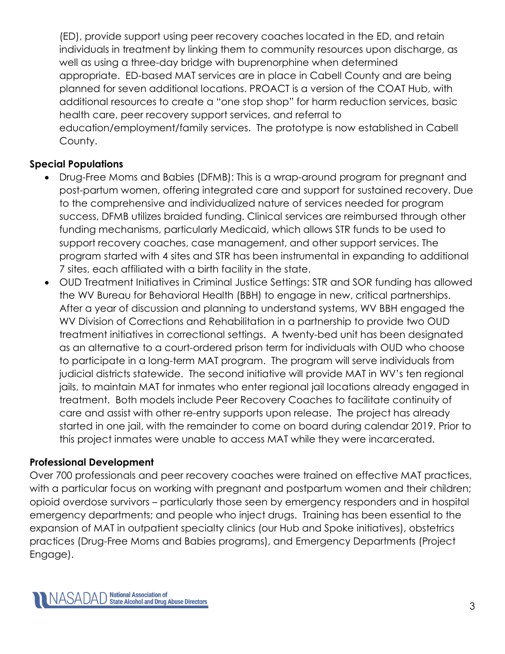(ED), provide support using peer recovery coaches located in the ED, and retain individuals in treatment by linking them to community resources upon discharge, as well as using a three-day bridge with buprenorphine when determined appropriate. ED-based MAT services are in place in Cabell County and are being planned for seven additional locations. PROACT is a version of the COAT Hub, with additional resources to create a "one stop shop" for harm reduction services, basic health care, peer recovery support services, and referral to education/employment/family services. The prototype is now established in Cabell County.

#### **Special Populations**

- Drug-Free Moms and Babies (DFMB): This is a wrap-around program for pregnant and post-partum women, offering integrated care and support for sustained recovery. Due to the comprehensive and individualized nature of services needed for program success, DFMB utilizes braided funding. Clinical services are reimbursed through other funding mechanisms, particularly Medicaid, which allows STR funds to be used to support recovery coaches, case management, and other support services. The program started with 4 sites and STR has been instrumental in expanding to additional 7 sites, each affiliated with a birth facility in the state.
- OUD Treatment Initiatives in Criminal Justice Settings: STR and SOR funding has allowed the WV Bureau for Behavioral Health (BBH) to engage in new, critical partnerships. After a year of discussion and planning to understand systems, WV BBH engaged the WV Division of Corrections and Rehabilitation in a partnership to provide two OUD treatment initiatives in correctional settings. A twenty-bed unit has been designated as an alternative to a court-ordered prison term for individuals with OUD who choose to participate in a long-term MAT program. The program will serve individuals from judicial districts statewide. The second initiative will provide MAT in WV's ten regional jails, to maintain MAT for inmates who enter regional jail locations already engaged in treatment. Both models include Peer Recovery Coaches to facilitate continuity of care and assist with other re-entry supports upon release. The project has already started in one jail, with the remainder to come on board during calendar 2019. Prior to this project inmates were unable to access MAT while they were incarcerated.

#### **Professional Development**

Over 700 professionals and peer recovery coaches were trained on effective MAT practices, with a particular focus on working with pregnant and postpartum women and their children; opioid overdose survivors – particularly those seen by emergency responders and in hospital emergency departments; and people who inject drugs. Training has been essential to the expansion of MAT in outpatient specialty clinics (our Hub and Spoke initiatives), obstetrics practices (Drug-Free Moms and Babies programs), and Emergency Departments (Project Engage).